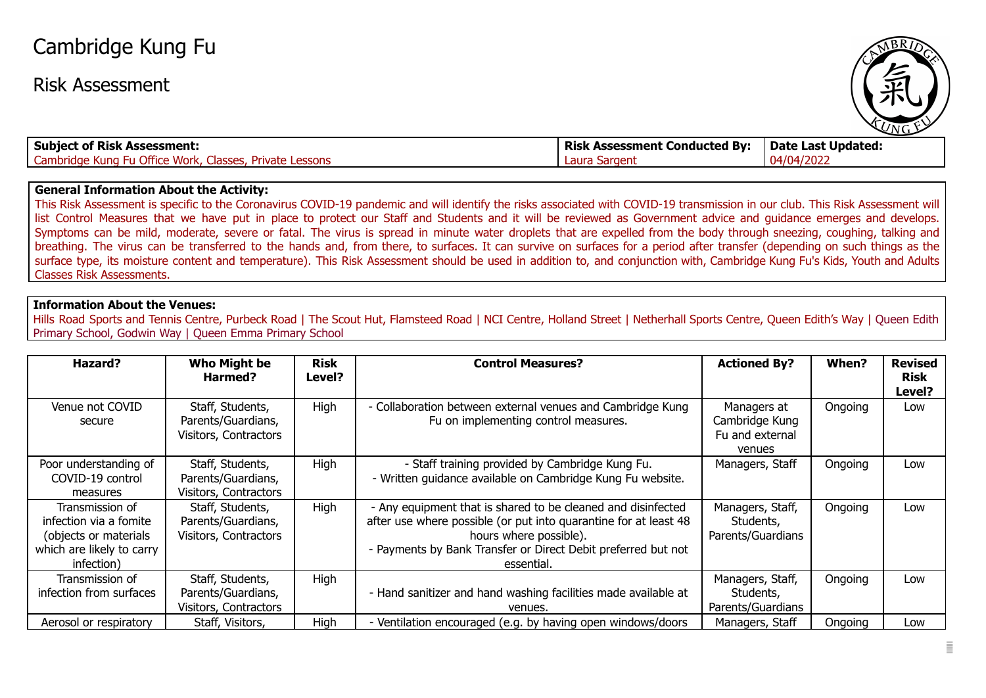## Cambridge Kung Fu

Risk Assessment



| <b>Subject of Risk Assessment:</b>                      | <b>Risk Assessment Conducted By:</b> | Date Last Updated: |
|---------------------------------------------------------|--------------------------------------|--------------------|
| Cambridge Kung Fu Office Work, Classes, Private Lessons | ' Laura Sargent                      | 04/04/2022         |

## **General Information About the Activity:**

This Risk Assessment is specific to the Coronavirus COVID-19 pandemic and will identify the risks associated with COVID-19 transmission in our club. This Risk Assessment will list Control Measures that we have put in place to protect our Staff and Students and it will be reviewed as Government advice and guidance emerges and develops. Symptoms can be mild, moderate, severe or fatal. The virus is spread in minute water droplets that are expelled from the body through sneezing, coughing, talking and breathing. The virus can be transferred to the hands and, from there, to surfaces. It can survive on surfaces for a period after transfer (depending on such things as the surface type, its moisture content and temperature). This Risk Assessment should be used in addition to, and conjunction with, Cambridge Kung Fu's Kids, Youth and Adults Classes Risk Assessments.

## **Information About the Venues:**

Hills Road Sports and Tennis Centre, Purbeck Road | The Scout Hut, Flamsteed Road | NCI Centre, Holland Street | Netherhall Sports Centre, Queen Edith's Way | Queen Edith Primary School, Godwin Way | Queen Emma Primary School

| Hazard?                                                                                                       | Who Might be<br>Harmed?                                         | <b>Risk</b><br>Level? | <b>Control Measures?</b>                                                                                                                                                                                                                  | <b>Actioned By?</b>                                        | When?   | <b>Revised</b><br><b>Risk</b><br>Level? |
|---------------------------------------------------------------------------------------------------------------|-----------------------------------------------------------------|-----------------------|-------------------------------------------------------------------------------------------------------------------------------------------------------------------------------------------------------------------------------------------|------------------------------------------------------------|---------|-----------------------------------------|
| Venue not COVID<br>secure                                                                                     | Staff, Students,<br>Parents/Guardians,<br>Visitors, Contractors | High                  | - Collaboration between external venues and Cambridge Kung<br>Fu on implementing control measures.                                                                                                                                        | Managers at<br>Cambridge Kung<br>Fu and external<br>venues | Ongoing | Low                                     |
| Poor understanding of<br>COVID-19 control<br>measures                                                         | Staff, Students,<br>Parents/Guardians,<br>Visitors, Contractors | High                  | - Staff training provided by Cambridge Kung Fu.<br>- Written quidance available on Cambridge Kung Fu website.                                                                                                                             | Managers, Staff                                            | Ongoing | Low                                     |
| Transmission of<br>infection via a fomite<br>(objects or materials<br>which are likely to carry<br>infection) | Staff, Students,<br>Parents/Guardians,<br>Visitors, Contractors | High                  | - Any equipment that is shared to be cleaned and disinfected<br>after use where possible (or put into quarantine for at least 48<br>hours where possible).<br>- Payments by Bank Transfer or Direct Debit preferred but not<br>essential. | Managers, Staff,<br>Students,<br>Parents/Guardians         | Ongoing | Low                                     |
| Transmission of<br>infection from surfaces                                                                    | Staff, Students,<br>Parents/Guardians,<br>Visitors, Contractors | High                  | - Hand sanitizer and hand washing facilities made available at<br>venues.                                                                                                                                                                 | Managers, Staff,<br>Students,<br>Parents/Guardians         | Ongoing | Low                                     |
| Aerosol or respiratory                                                                                        | Staff, Visitors,                                                | High                  | - Ventilation encouraged (e.g. by having open windows/doors                                                                                                                                                                               | Managers, Staff                                            | Ongoing | Low                                     |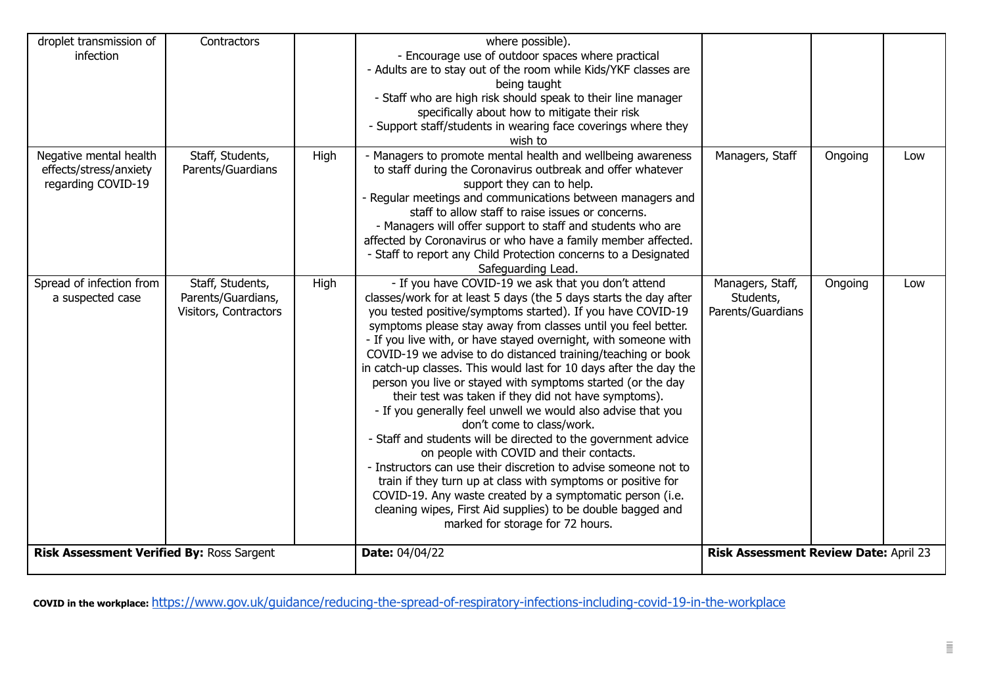| droplet transmission of<br>infection                                   | Contractors                                                     |      | where possible).<br>- Encourage use of outdoor spaces where practical<br>- Adults are to stay out of the room while Kids/YKF classes are<br>being taught<br>- Staff who are high risk should speak to their line manager<br>specifically about how to mitigate their risk<br>- Support staff/students in wearing face coverings where they<br>wish to                                                                                                                                                                                                                                                                                                                                                                                                                                                                                                                                                                                                                                                                                                                                                  |                                                    |         |     |
|------------------------------------------------------------------------|-----------------------------------------------------------------|------|--------------------------------------------------------------------------------------------------------------------------------------------------------------------------------------------------------------------------------------------------------------------------------------------------------------------------------------------------------------------------------------------------------------------------------------------------------------------------------------------------------------------------------------------------------------------------------------------------------------------------------------------------------------------------------------------------------------------------------------------------------------------------------------------------------------------------------------------------------------------------------------------------------------------------------------------------------------------------------------------------------------------------------------------------------------------------------------------------------|----------------------------------------------------|---------|-----|
| Negative mental health<br>effects/stress/anxiety<br>regarding COVID-19 | Staff, Students,<br>Parents/Guardians                           | High | - Managers to promote mental health and wellbeing awareness<br>to staff during the Coronavirus outbreak and offer whatever<br>support they can to help.<br>- Regular meetings and communications between managers and<br>staff to allow staff to raise issues or concerns.<br>- Managers will offer support to staff and students who are<br>affected by Coronavirus or who have a family member affected.<br>- Staff to report any Child Protection concerns to a Designated<br>Safeguarding Lead.                                                                                                                                                                                                                                                                                                                                                                                                                                                                                                                                                                                                    | Managers, Staff                                    | Ongoing | Low |
| Spread of infection from<br>a suspected case                           | Staff, Students,<br>Parents/Guardians,<br>Visitors, Contractors | High | - If you have COVID-19 we ask that you don't attend<br>classes/work for at least 5 days (the 5 days starts the day after<br>you tested positive/symptoms started). If you have COVID-19<br>symptoms please stay away from classes until you feel better.<br>- If you live with, or have stayed overnight, with someone with<br>COVID-19 we advise to do distanced training/teaching or book<br>in catch-up classes. This would last for 10 days after the day the<br>person you live or stayed with symptoms started (or the day<br>their test was taken if they did not have symptoms).<br>- If you generally feel unwell we would also advise that you<br>don't come to class/work.<br>- Staff and students will be directed to the government advice<br>on people with COVID and their contacts.<br>- Instructors can use their discretion to advise someone not to<br>train if they turn up at class with symptoms or positive for<br>COVID-19. Any waste created by a symptomatic person (i.e.<br>cleaning wipes, First Aid supplies) to be double bagged and<br>marked for storage for 72 hours. | Managers, Staff,<br>Students,<br>Parents/Guardians | Ongoing | Low |
| Risk Assessment Verified By: Ross Sargent                              |                                                                 |      | <b>Date: 04/04/22</b>                                                                                                                                                                                                                                                                                                                                                                                                                                                                                                                                                                                                                                                                                                                                                                                                                                                                                                                                                                                                                                                                                  | Risk Assessment Review Date: April 23              |         |     |

**COVID in the workplace:** <https://www.gov.uk/guidance/reducing-the-spread-of-respiratory-infections-including-covid-19-in-the-workplace>